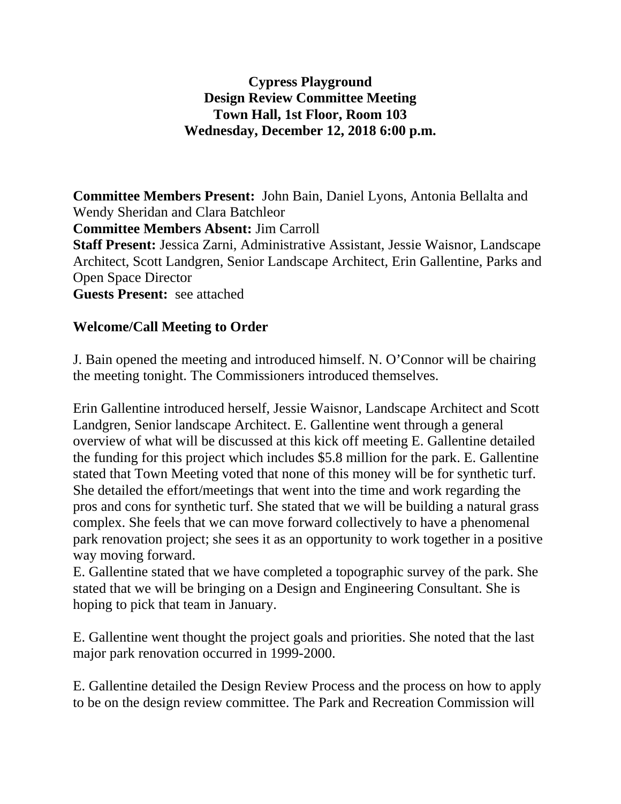## **Cypress Playground Design Review Committee Meeting Town Hall, 1st Floor, Room 103 Wednesday, December 12, 2018 6:00 p.m.**

**Committee Members Present:** John Bain, Daniel Lyons, Antonia Bellalta and Wendy Sheridan and Clara Batchleor **Committee Members Absent:** Jim Carroll **Staff Present:** Jessica Zarni, Administrative Assistant, Jessie Waisnor, Landscape Architect, Scott Landgren, Senior Landscape Architect, Erin Gallentine, Parks and Open Space Director

**Guests Present:** see attached

## **Welcome/Call Meeting to Order**

J. Bain opened the meeting and introduced himself. N. O'Connor will be chairing the meeting tonight. The Commissioners introduced themselves.

Erin Gallentine introduced herself, Jessie Waisnor, Landscape Architect and Scott Landgren, Senior landscape Architect. E. Gallentine went through a general overview of what will be discussed at this kick off meeting E. Gallentine detailed the funding for this project which includes \$5.8 million for the park. E. Gallentine stated that Town Meeting voted that none of this money will be for synthetic turf. She detailed the effort/meetings that went into the time and work regarding the pros and cons for synthetic turf. She stated that we will be building a natural grass complex. She feels that we can move forward collectively to have a phenomenal park renovation project; she sees it as an opportunity to work together in a positive way moving forward.

E. Gallentine stated that we have completed a topographic survey of the park. She stated that we will be bringing on a Design and Engineering Consultant. She is hoping to pick that team in January.

E. Gallentine went thought the project goals and priorities. She noted that the last major park renovation occurred in 1999-2000.

E. Gallentine detailed the Design Review Process and the process on how to apply to be on the design review committee. The Park and Recreation Commission will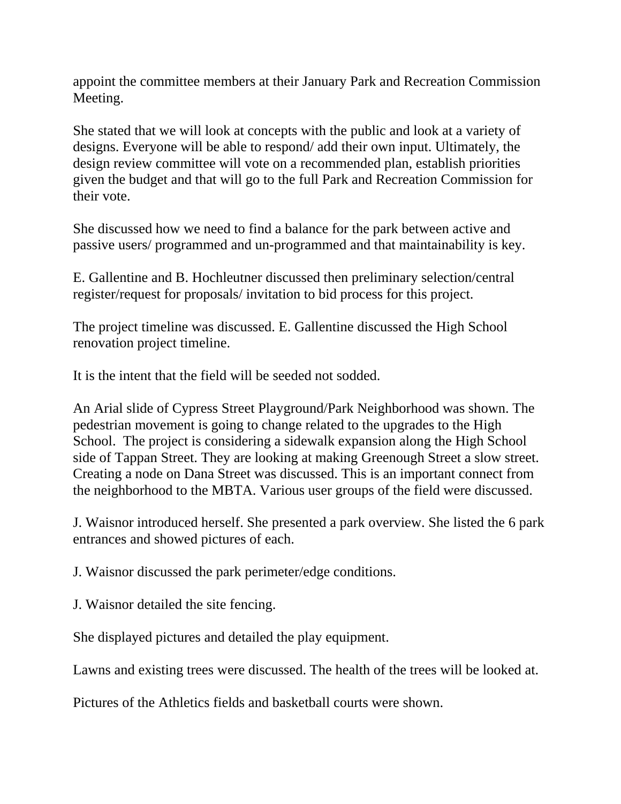appoint the committee members at their January Park and Recreation Commission Meeting.

She stated that we will look at concepts with the public and look at a variety of designs. Everyone will be able to respond/ add their own input. Ultimately, the design review committee will vote on a recommended plan, establish priorities given the budget and that will go to the full Park and Recreation Commission for their vote.

She discussed how we need to find a balance for the park between active and passive users/ programmed and un-programmed and that maintainability is key.

E. Gallentine and B. Hochleutner discussed then preliminary selection/central register/request for proposals/ invitation to bid process for this project.

The project timeline was discussed. E. Gallentine discussed the High School renovation project timeline.

It is the intent that the field will be seeded not sodded.

An Arial slide of Cypress Street Playground/Park Neighborhood was shown. The pedestrian movement is going to change related to the upgrades to the High School. The project is considering a sidewalk expansion along the High School side of Tappan Street. They are looking at making Greenough Street a slow street. Creating a node on Dana Street was discussed. This is an important connect from the neighborhood to the MBTA. Various user groups of the field were discussed.

J. Waisnor introduced herself. She presented a park overview. She listed the 6 park entrances and showed pictures of each.

J. Waisnor discussed the park perimeter/edge conditions.

J. Waisnor detailed the site fencing.

She displayed pictures and detailed the play equipment.

Lawns and existing trees were discussed. The health of the trees will be looked at.

Pictures of the Athletics fields and basketball courts were shown.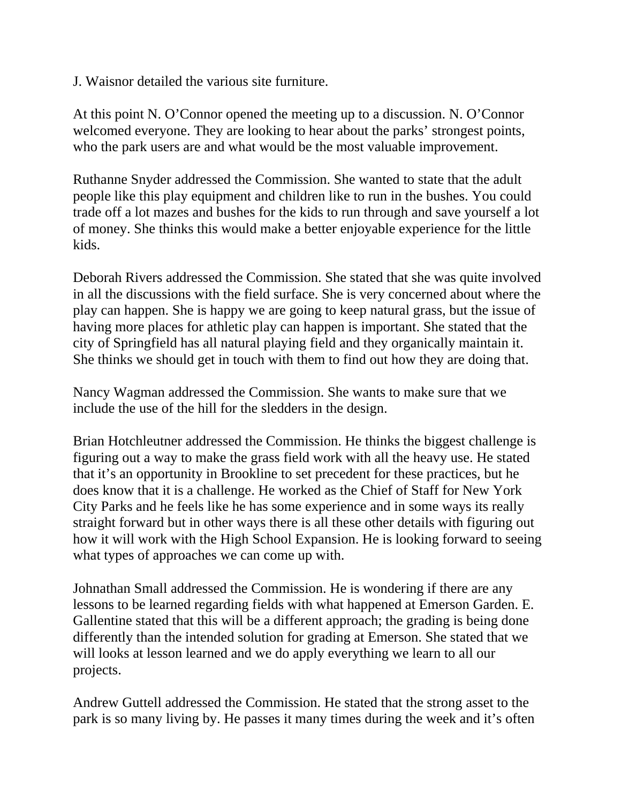J. Waisnor detailed the various site furniture.

At this point N. O'Connor opened the meeting up to a discussion. N. O'Connor welcomed everyone. They are looking to hear about the parks' strongest points, who the park users are and what would be the most valuable improvement.

Ruthanne Snyder addressed the Commission. She wanted to state that the adult people like this play equipment and children like to run in the bushes. You could trade off a lot mazes and bushes for the kids to run through and save yourself a lot of money. She thinks this would make a better enjoyable experience for the little kids.

Deborah Rivers addressed the Commission. She stated that she was quite involved in all the discussions with the field surface. She is very concerned about where the play can happen. She is happy we are going to keep natural grass, but the issue of having more places for athletic play can happen is important. She stated that the city of Springfield has all natural playing field and they organically maintain it. She thinks we should get in touch with them to find out how they are doing that.

Nancy Wagman addressed the Commission. She wants to make sure that we include the use of the hill for the sledders in the design.

Brian Hotchleutner addressed the Commission. He thinks the biggest challenge is figuring out a way to make the grass field work with all the heavy use. He stated that it's an opportunity in Brookline to set precedent for these practices, but he does know that it is a challenge. He worked as the Chief of Staff for New York City Parks and he feels like he has some experience and in some ways its really straight forward but in other ways there is all these other details with figuring out how it will work with the High School Expansion. He is looking forward to seeing what types of approaches we can come up with.

Johnathan Small addressed the Commission. He is wondering if there are any lessons to be learned regarding fields with what happened at Emerson Garden. E. Gallentine stated that this will be a different approach; the grading is being done differently than the intended solution for grading at Emerson. She stated that we will looks at lesson learned and we do apply everything we learn to all our projects.

Andrew Guttell addressed the Commission. He stated that the strong asset to the park is so many living by. He passes it many times during the week and it's often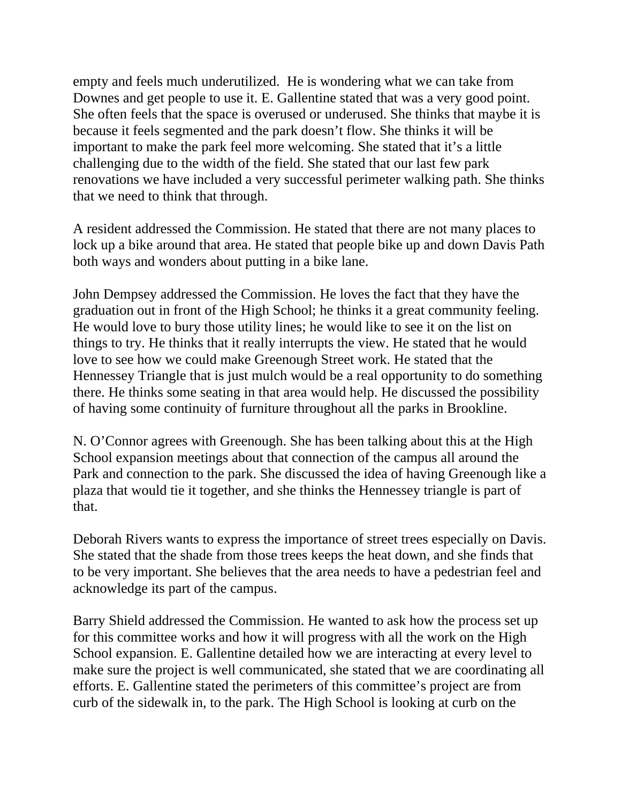empty and feels much underutilized. He is wondering what we can take from Downes and get people to use it. E. Gallentine stated that was a very good point. She often feels that the space is overused or underused. She thinks that maybe it is because it feels segmented and the park doesn't flow. She thinks it will be important to make the park feel more welcoming. She stated that it's a little challenging due to the width of the field. She stated that our last few park renovations we have included a very successful perimeter walking path. She thinks that we need to think that through.

A resident addressed the Commission. He stated that there are not many places to lock up a bike around that area. He stated that people bike up and down Davis Path both ways and wonders about putting in a bike lane.

John Dempsey addressed the Commission. He loves the fact that they have the graduation out in front of the High School; he thinks it a great community feeling. He would love to bury those utility lines; he would like to see it on the list on things to try. He thinks that it really interrupts the view. He stated that he would love to see how we could make Greenough Street work. He stated that the Hennessey Triangle that is just mulch would be a real opportunity to do something there. He thinks some seating in that area would help. He discussed the possibility of having some continuity of furniture throughout all the parks in Brookline.

N. O'Connor agrees with Greenough. She has been talking about this at the High School expansion meetings about that connection of the campus all around the Park and connection to the park. She discussed the idea of having Greenough like a plaza that would tie it together, and she thinks the Hennessey triangle is part of that.

Deborah Rivers wants to express the importance of street trees especially on Davis. She stated that the shade from those trees keeps the heat down, and she finds that to be very important. She believes that the area needs to have a pedestrian feel and acknowledge its part of the campus.

Barry Shield addressed the Commission. He wanted to ask how the process set up for this committee works and how it will progress with all the work on the High School expansion. E. Gallentine detailed how we are interacting at every level to make sure the project is well communicated, she stated that we are coordinating all efforts. E. Gallentine stated the perimeters of this committee's project are from curb of the sidewalk in, to the park. The High School is looking at curb on the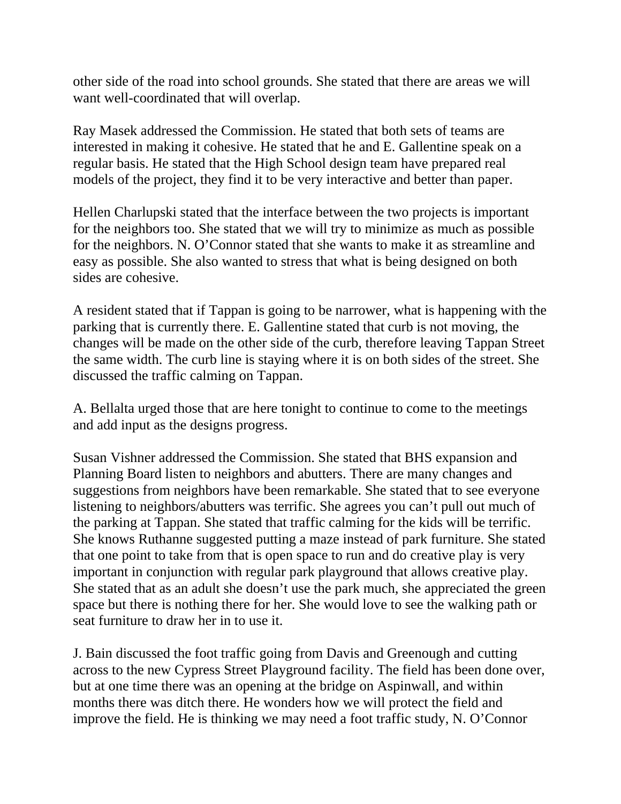other side of the road into school grounds. She stated that there are areas we will want well-coordinated that will overlap.

Ray Masek addressed the Commission. He stated that both sets of teams are interested in making it cohesive. He stated that he and E. Gallentine speak on a regular basis. He stated that the High School design team have prepared real models of the project, they find it to be very interactive and better than paper.

Hellen Charlupski stated that the interface between the two projects is important for the neighbors too. She stated that we will try to minimize as much as possible for the neighbors. N. O'Connor stated that she wants to make it as streamline and easy as possible. She also wanted to stress that what is being designed on both sides are cohesive.

A resident stated that if Tappan is going to be narrower, what is happening with the parking that is currently there. E. Gallentine stated that curb is not moving, the changes will be made on the other side of the curb, therefore leaving Tappan Street the same width. The curb line is staying where it is on both sides of the street. She discussed the traffic calming on Tappan.

A. Bellalta urged those that are here tonight to continue to come to the meetings and add input as the designs progress.

Susan Vishner addressed the Commission. She stated that BHS expansion and Planning Board listen to neighbors and abutters. There are many changes and suggestions from neighbors have been remarkable. She stated that to see everyone listening to neighbors/abutters was terrific. She agrees you can't pull out much of the parking at Tappan. She stated that traffic calming for the kids will be terrific. She knows Ruthanne suggested putting a maze instead of park furniture. She stated that one point to take from that is open space to run and do creative play is very important in conjunction with regular park playground that allows creative play. She stated that as an adult she doesn't use the park much, she appreciated the green space but there is nothing there for her. She would love to see the walking path or seat furniture to draw her in to use it.

J. Bain discussed the foot traffic going from Davis and Greenough and cutting across to the new Cypress Street Playground facility. The field has been done over, but at one time there was an opening at the bridge on Aspinwall, and within months there was ditch there. He wonders how we will protect the field and improve the field. He is thinking we may need a foot traffic study, N. O'Connor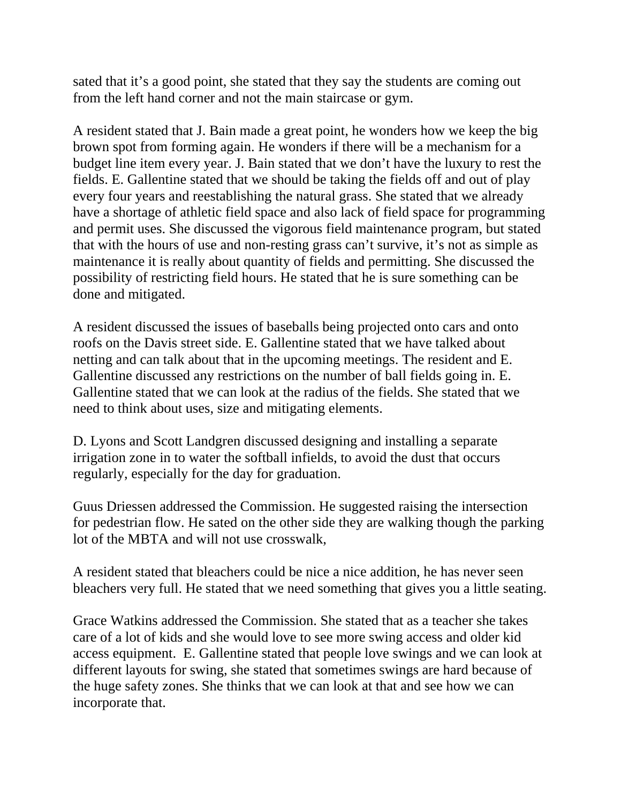sated that it's a good point, she stated that they say the students are coming out from the left hand corner and not the main staircase or gym.

A resident stated that J. Bain made a great point, he wonders how we keep the big brown spot from forming again. He wonders if there will be a mechanism for a budget line item every year. J. Bain stated that we don't have the luxury to rest the fields. E. Gallentine stated that we should be taking the fields off and out of play every four years and reestablishing the natural grass. She stated that we already have a shortage of athletic field space and also lack of field space for programming and permit uses. She discussed the vigorous field maintenance program, but stated that with the hours of use and non-resting grass can't survive, it's not as simple as maintenance it is really about quantity of fields and permitting. She discussed the possibility of restricting field hours. He stated that he is sure something can be done and mitigated.

A resident discussed the issues of baseballs being projected onto cars and onto roofs on the Davis street side. E. Gallentine stated that we have talked about netting and can talk about that in the upcoming meetings. The resident and E. Gallentine discussed any restrictions on the number of ball fields going in. E. Gallentine stated that we can look at the radius of the fields. She stated that we need to think about uses, size and mitigating elements.

D. Lyons and Scott Landgren discussed designing and installing a separate irrigation zone in to water the softball infields, to avoid the dust that occurs regularly, especially for the day for graduation.

Guus Driessen addressed the Commission. He suggested raising the intersection for pedestrian flow. He sated on the other side they are walking though the parking lot of the MBTA and will not use crosswalk,

A resident stated that bleachers could be nice a nice addition, he has never seen bleachers very full. He stated that we need something that gives you a little seating.

Grace Watkins addressed the Commission. She stated that as a teacher she takes care of a lot of kids and she would love to see more swing access and older kid access equipment. E. Gallentine stated that people love swings and we can look at different layouts for swing, she stated that sometimes swings are hard because of the huge safety zones. She thinks that we can look at that and see how we can incorporate that.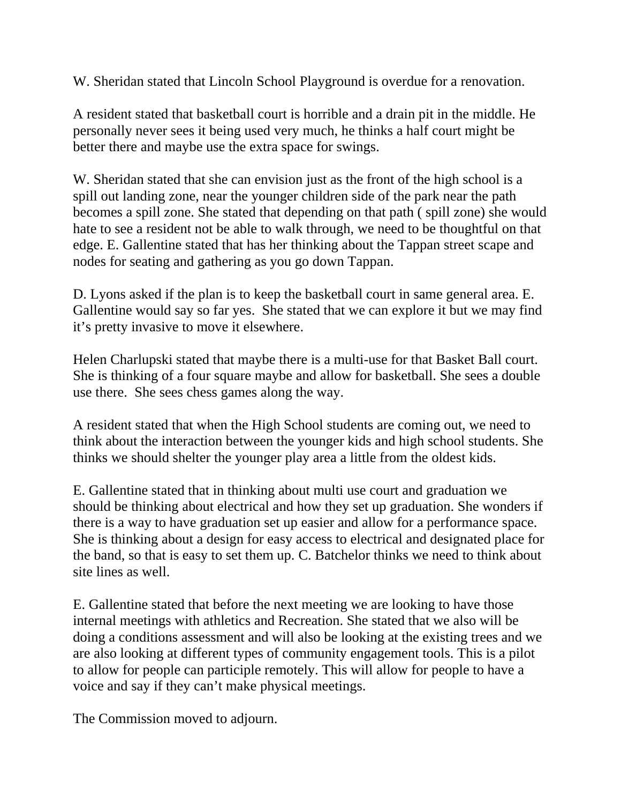W. Sheridan stated that Lincoln School Playground is overdue for a renovation.

A resident stated that basketball court is horrible and a drain pit in the middle. He personally never sees it being used very much, he thinks a half court might be better there and maybe use the extra space for swings.

W. Sheridan stated that she can envision just as the front of the high school is a spill out landing zone, near the younger children side of the park near the path becomes a spill zone. She stated that depending on that path ( spill zone) she would hate to see a resident not be able to walk through, we need to be thoughtful on that edge. E. Gallentine stated that has her thinking about the Tappan street scape and nodes for seating and gathering as you go down Tappan.

D. Lyons asked if the plan is to keep the basketball court in same general area. E. Gallentine would say so far yes. She stated that we can explore it but we may find it's pretty invasive to move it elsewhere.

Helen Charlupski stated that maybe there is a multi-use for that Basket Ball court. She is thinking of a four square maybe and allow for basketball. She sees a double use there. She sees chess games along the way.

A resident stated that when the High School students are coming out, we need to think about the interaction between the younger kids and high school students. She thinks we should shelter the younger play area a little from the oldest kids.

E. Gallentine stated that in thinking about multi use court and graduation we should be thinking about electrical and how they set up graduation. She wonders if there is a way to have graduation set up easier and allow for a performance space. She is thinking about a design for easy access to electrical and designated place for the band, so that is easy to set them up. C. Batchelor thinks we need to think about site lines as well.

E. Gallentine stated that before the next meeting we are looking to have those internal meetings with athletics and Recreation. She stated that we also will be doing a conditions assessment and will also be looking at the existing trees and we are also looking at different types of community engagement tools. This is a pilot to allow for people can participle remotely. This will allow for people to have a voice and say if they can't make physical meetings.

The Commission moved to adjourn.